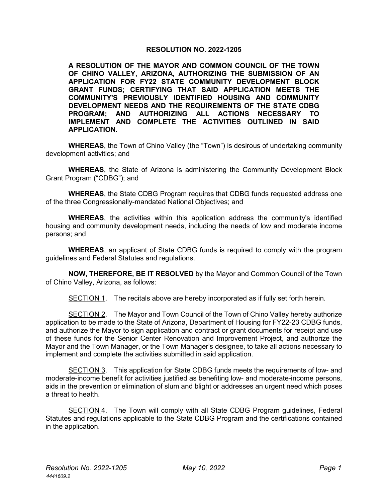## **RESOLUTION NO. 2022-1205**

**A RESOLUTION OF THE MAYOR AND COMMON COUNCIL OF THE TOWN OF CHINO VALLEY, ARIZONA, AUTHORIZING THE SUBMISSION OF AN APPLICATION FOR FY22 STATE COMMUNITY DEVELOPMENT BLOCK GRANT FUNDS; CERTIFYING THAT SAID APPLICATION MEETS THE COMMUNITY'S PREVIOUSLY IDENTIFIED HOUSING AND COMMUNITY DEVELOPMENT NEEDS AND THE REQUIREMENTS OF THE STATE CDBG PROGRAM; AND AUTHORIZING ALL ACTIONS NECESSARY TO IMPLEMENT AND COMPLETE THE ACTIVITIES OUTLINED IN SAID APPLICATION.**

**WHEREAS**, the Town of Chino Valley (the "Town") is desirous of undertaking community development activities; and

**WHEREAS**, the State of Arizona is administering the Community Development Block Grant Program ("CDBG"); and

**WHEREAS**, the State CDBG Program requires that CDBG funds requested address one of the three Congressionally-mandated National Objectives; and

**WHEREAS**, the activities within this application address the community's identified housing and community development needs, including the needs of low and moderate income persons; and

**WHEREAS**, an applicant of State CDBG funds is required to comply with the program guidelines and Federal Statutes and regulations.

**NOW, THEREFORE, BE IT RESOLVED** by the Mayor and Common Council of the Town of Chino Valley, Arizona, as follows:

SECTION 1. The recitals above are hereby incorporated as if fully set forth herein.

SECTION 2. The Mayor and Town Council of the Town of Chino Valley hereby authorize application to be made to the State of Arizona, Department of Housing for FY22-23 CDBG funds, and authorize the Mayor to sign application and contract or grant documents for receipt and use of these funds for the Senior Center Renovation and Improvement Project, and authorize the Mayor and the Town Manager, or the Town Manager's designee, to take all actions necessary to implement and complete the activities submitted in said application.

SECTION 3. This application for State CDBG funds meets the requirements of low- and moderate-income benefit for activities justified as benefiting low- and moderate-income persons, aids in the prevention or elimination of slum and blight or addresses an urgent need which poses a threat to health.

SECTION 4. The Town will comply with all State CDBG Program guidelines, Federal Statutes and regulations applicable to the State CDBG Program and the certifications contained in the application.